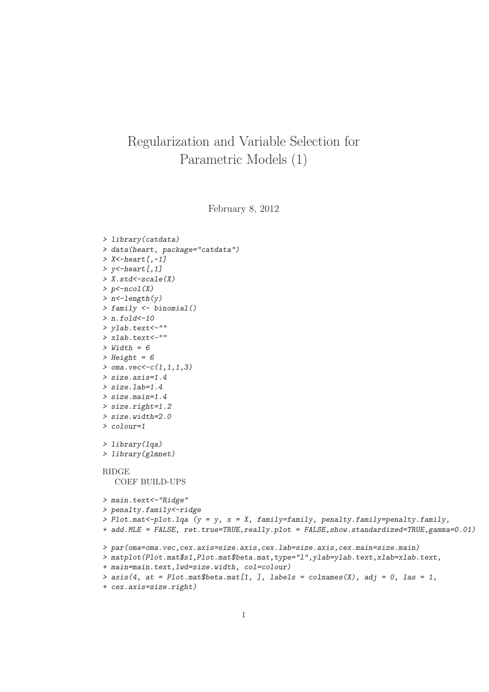## Regularization and Variable Selection for Parametric Models (1)

February 8, 2012

```
> library(catdata)
> data(heart, package="catdata")
> X <-heart [,-1]
> y<-heart [, 1]
> X.std<-scale(X)
> p < -ncol(X)
> n<-length(y)
> family <- binomial()
> n.fold < -10> ylab.text<-""
> xlab.text<-""
> Width = 6
> Height = 6
> oma.vec < - c(1,1,1,3)
> size.axis=1.4
> size.lab=1.4
> size.main=1.4
> size.right=1.2
> size.width=2.0
> colour=1
> library(lqa)
> library(glmnet)
RIDGE
  COEF BUILD-UPS
> main.text<-"Ridge"
> penalty.family<-ridge
> Plot.mat <- plot.lqa (y = y, x = X, family = family, penalty = penalty = penalty, family,+ add.MLE = FALSE, ret.true=TRUE,really.plot = FALSE,show.standardized=TRUE,gamma=0.01)
> par(oma=oma.vec,cex.axis=size.axis,cex.lab=size.axis,cex.main=size.main)
> matplot(Plot.mat$s1,Plot.mat$beta.mat,type="l",ylab=ylab.text,xlab=xlab.text,
+ main=main.text,lwd=size.width, col=colour)
> axis(4, at = Plot.math$beta.math[1, ], labels = columns(X), adj = 0, las = 1,
```

```
+ cex.axis=size.right)
```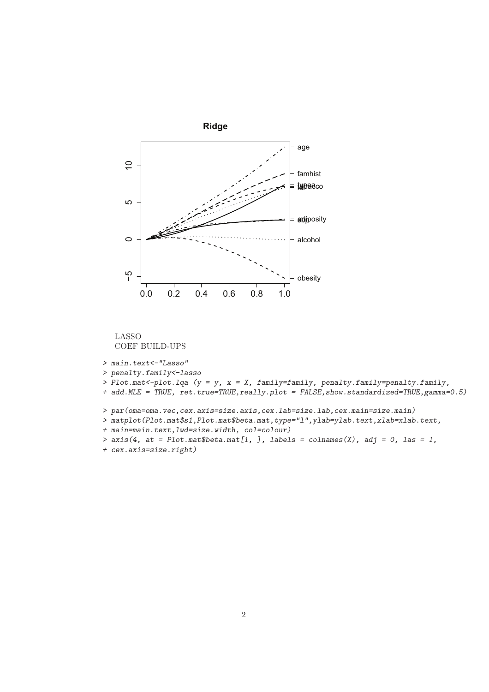



> main.text<-"Lasso"

> penalty.family<-lasso

- > Plot.mat<-plot.lqa (y = y, x = X, family=family, penalty.family=penalty.family,
- + add.MLE = TRUE, ret.true=TRUE,really.plot = FALSE,show.standardized=TRUE,gamma=0.5)
- > par(oma=oma.vec,cex.axis=size.axis,cex.lab=size.lab,cex.main=size.main)
- > matplot(Plot.mat\$s1, Plot.mat\$beta.mat, type="1", ylab=ylab.text, xlab=xlab.text,
- + main=main.text,lwd=size.width, col=colour)
- >  $axis(4, at = Plot.mathbeta.math[1, ], labels = colnames(X), adj = 0, las = 1,$
- + cex.axis=size.right)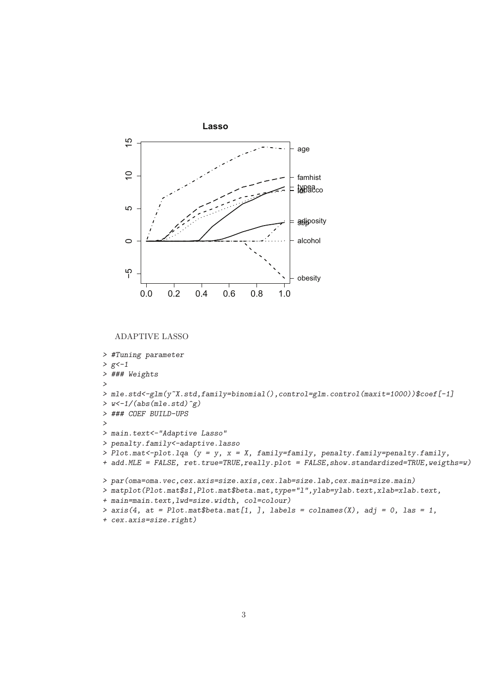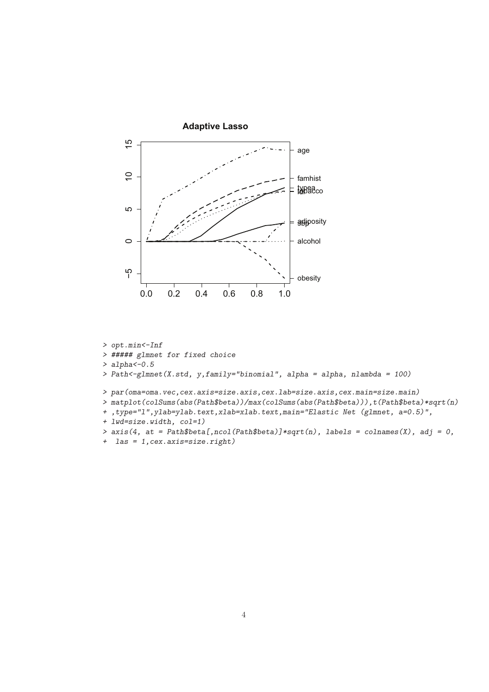

- > opt.min<-Inf
- > ##### glmnet for fixed choice
- $>$  alpha $<-0.5$
- > Path<-glmnet(X.std, y,family="binomial", alpha = alpha, nlambda = 100)
- > par(oma=oma.vec,cex.axis=size.axis,cex.lab=size.axis,cex.main=size.main)
- > matplot(colSums(abs(Path\$beta))/max(colSums(abs(Path\$beta))),t(Path\$beta)\*sqrt(n)
- + ,type="l",ylab=ylab.text,xlab=xlab.text,main="Elastic Net (glmnet, a=0.5)",
- + lwd=size.width, col=1)
- >  $axis(4, at = Path$beta[,ncol(Path$beta)]*sqrt(n), labels = colnames(X), adj = 0,$
- + las = 1,cex.axis=size.right)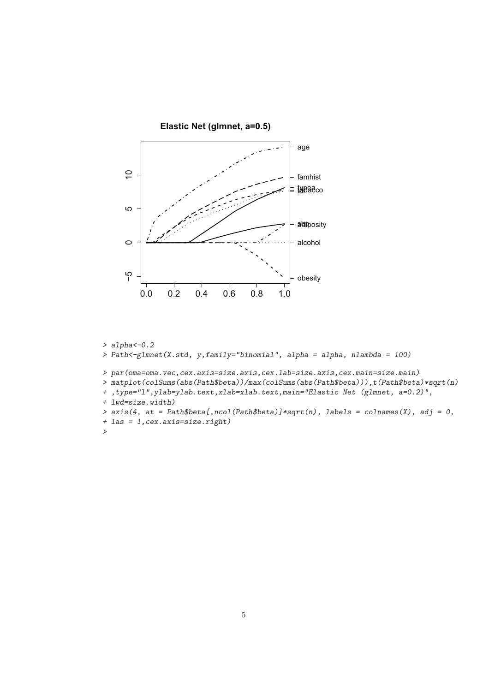

> alpha<-0.2 > Path<-glmnet(X.std, y,family="binomial", alpha = alpha, nlambda = 100) > par(oma=oma.vec,cex.axis=size.axis,cex.lab=size.axis,cex.main=size.main) > matplot(colSums(abs(Path\$beta))/max(colSums(abs(Path\$beta))),t(Path\$beta)\*sqrt(n) + ,type="l",ylab=ylab.text,xlab=xlab.text,main="Elastic Net (glmnet, a=0.2)", + lwd=size.width) >  $axis(4, at = Path$beta[,ncol(Path$beta)]*sqrt(n), labels = colnames(X), adj = 0,$ + las = 1,cex.axis=size.right) >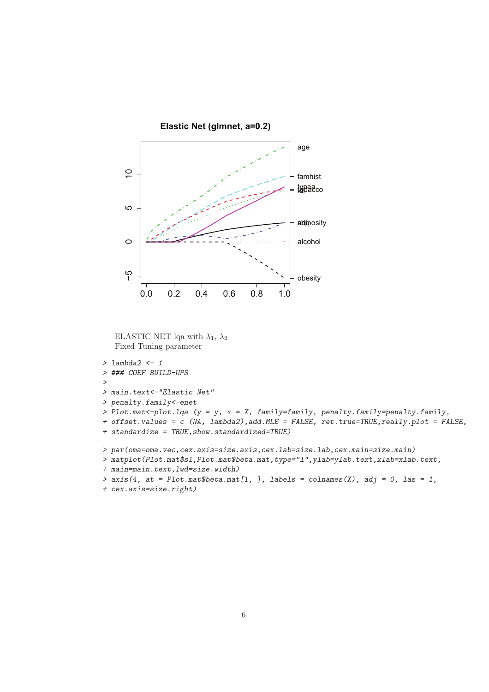